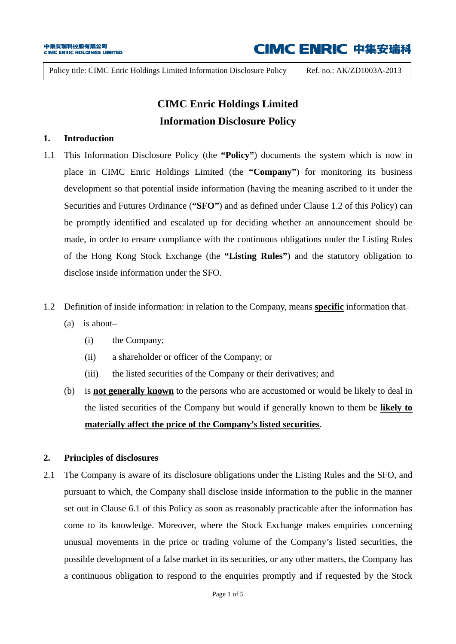Policy title: CIMC Enric Holdings Limited Information Disclosure Policy Ref. no.: AK/ZD1003A-2013

### **CIMC Enric Holdings Limited Information Disclosure Policy**

### **1. Introduction**

- 1.1 This Information Disclosure Policy (the **"Policy"**) documents the system which is now in place in CIMC Enric Holdings Limited (the **"Company"**) for monitoring its business development so that potential inside information (having the meaning ascribed to it under the Securities and Futures Ordinance (**"SFO"**) and as defined under Clause 1.2 of this Policy) can be promptly identified and escalated up for deciding whether an announcement should be made, in order to ensure compliance with the continuous obligations under the Listing Rules of the Hong Kong Stock Exchange (the **"Listing Rules"**) and the statutory obligation to disclose inside information under the SFO.
- 1.2 Definition of inside information: in relation to the Company, means **specific** information that**–**
	- (a) is about–
		- (i) the Company;
		- (ii) a shareholder or officer of the Company; or
		- (iii) the listed securities of the Company or their derivatives; and
	- (b) is **not generally known** to the persons who are accustomed or would be likely to deal in the listed securities of the Company but would if generally known to them be **likely to materially affect the price of the Company's listed securities**.

#### **2. Principles of disclosures**

2.1 The Company is aware of its disclosure obligations under the Listing Rules and the SFO, and pursuant to which, the Company shall disclose inside information to the public in the manner set out in Clause 6.1 of this Policy as soon as reasonably practicable after the information has come to its knowledge. Moreover, where the Stock Exchange makes enquiries concerning unusual movements in the price or trading volume of the Company's listed securities, the possible development of a false market in its securities, or any other matters, the Company has a continuous obligation to respond to the enquiries promptly and if requested by the Stock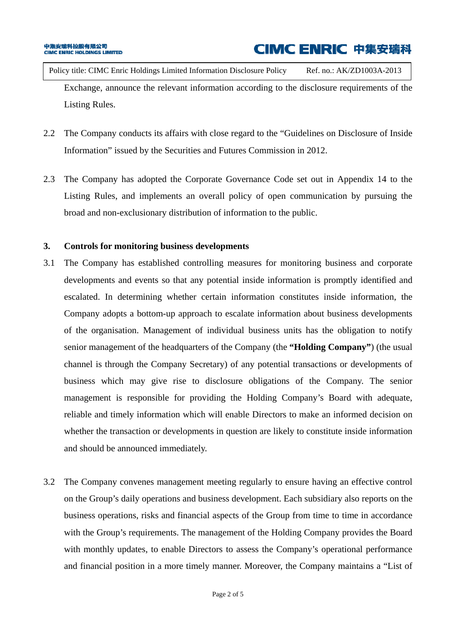Policy title: CIMC Enric Holdings Limited Information Disclosure Policy Ref. no.: AK/ZD1003A-2013 Exchange, announce the relevant information according to the disclosure requirements of the Listing Rules.

- 2.2 The Company conducts its affairs with close regard to the "Guidelines on Disclosure of Inside Information" issued by the Securities and Futures Commission in 2012.
- 2.3 The Company has adopted the Corporate Governance Code set out in Appendix 14 to the Listing Rules, and implements an overall policy of open communication by pursuing the broad and non-exclusionary distribution of information to the public.

### **3. Controls for monitoring business developments**

- 3.1 The Company has established controlling measures for monitoring business and corporate developments and events so that any potential inside information is promptly identified and escalated. In determining whether certain information constitutes inside information, the Company adopts a bottom-up approach to escalate information about business developments of the organisation. Management of individual business units has the obligation to notify senior management of the headquarters of the Company (the **"Holding Company"**) (the usual channel is through the Company Secretary) of any potential transactions or developments of business which may give rise to disclosure obligations of the Company. The senior management is responsible for providing the Holding Company's Board with adequate, reliable and timely information which will enable Directors to make an informed decision on whether the transaction or developments in question are likely to constitute inside information and should be announced immediately.
- 3.2 The Company convenes management meeting regularly to ensure having an effective control on the Group's daily operations and business development. Each subsidiary also reports on the business operations, risks and financial aspects of the Group from time to time in accordance with the Group's requirements. The management of the Holding Company provides the Board with monthly updates, to enable Directors to assess the Company's operational performance and financial position in a more timely manner. Moreover, the Company maintains a "List of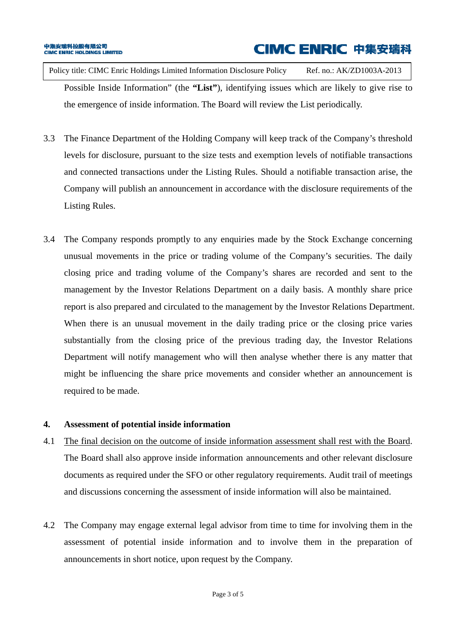Policy title: CIMC Enric Holdings Limited Information Disclosure Policy Ref. no.: AK/ZD1003A-2013 Possible Inside Information" (the **"List"**), identifying issues which are likely to give rise to the emergence of inside information. The Board will review the List periodically.

- 3.3 The Finance Department of the Holding Company will keep track of the Company's threshold levels for disclosure, pursuant to the size tests and exemption levels of notifiable transactions and connected transactions under the Listing Rules. Should a notifiable transaction arise, the Company will publish an announcement in accordance with the disclosure requirements of the Listing Rules.
- 3.4 The Company responds promptly to any enquiries made by the Stock Exchange concerning unusual movements in the price or trading volume of the Company's securities. The daily closing price and trading volume of the Company's shares are recorded and sent to the management by the Investor Relations Department on a daily basis. A monthly share price report is also prepared and circulated to the management by the Investor Relations Department. When there is an unusual movement in the daily trading price or the closing price varies substantially from the closing price of the previous trading day, the Investor Relations Department will notify management who will then analyse whether there is any matter that might be influencing the share price movements and consider whether an announcement is required to be made.

### **4. Assessment of potential inside information**

- 4.1 The final decision on the outcome of inside information assessment shall rest with the Board. The Board shall also approve inside information announcements and other relevant disclosure documents as required under the SFO or other regulatory requirements. Audit trail of meetings and discussions concerning the assessment of inside information will also be maintained.
- 4.2 The Company may engage external legal advisor from time to time for involving them in the assessment of potential inside information and to involve them in the preparation of announcements in short notice, upon request by the Company.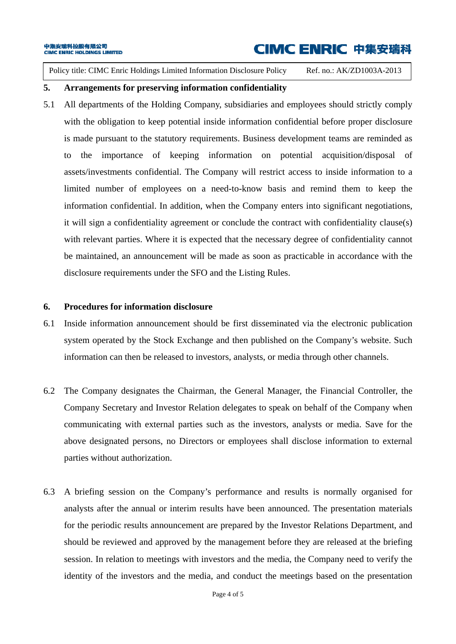Policy title: CIMC Enric Holdings Limited Information Disclosure Policy Ref. no.: AK/ZD1003A-2013

#### **5. Arrangements for preserving information confidentiality**

5.1 All departments of the Holding Company, subsidiaries and employees should strictly comply with the obligation to keep potential inside information confidential before proper disclosure is made pursuant to the statutory requirements. Business development teams are reminded as to the importance of keeping information on potential acquisition/disposal of assets/investments confidential. The Company will restrict access to inside information to a limited number of employees on a need-to-know basis and remind them to keep the information confidential. In addition, when the Company enters into significant negotiations, it will sign a confidentiality agreement or conclude the contract with confidentiality clause(s) with relevant parties. Where it is expected that the necessary degree of confidentiality cannot be maintained, an announcement will be made as soon as practicable in accordance with the disclosure requirements under the SFO and the Listing Rules.

#### **6. Procedures for information disclosure**

- 6.1 Inside information announcement should be first disseminated via the electronic publication system operated by the Stock Exchange and then published on the Company's website. Such information can then be released to investors, analysts, or media through other channels.
- 6.2 The Company designates the Chairman, the General Manager, the Financial Controller, the Company Secretary and Investor Relation delegates to speak on behalf of the Company when communicating with external parties such as the investors, analysts or media. Save for the above designated persons, no Directors or employees shall disclose information to external parties without authorization.
- 6.3 A briefing session on the Company's performance and results is normally organised for analysts after the annual or interim results have been announced. The presentation materials for the periodic results announcement are prepared by the Investor Relations Department, and should be reviewed and approved by the management before they are released at the briefing session. In relation to meetings with investors and the media, the Company need to verify the identity of the investors and the media, and conduct the meetings based on the presentation